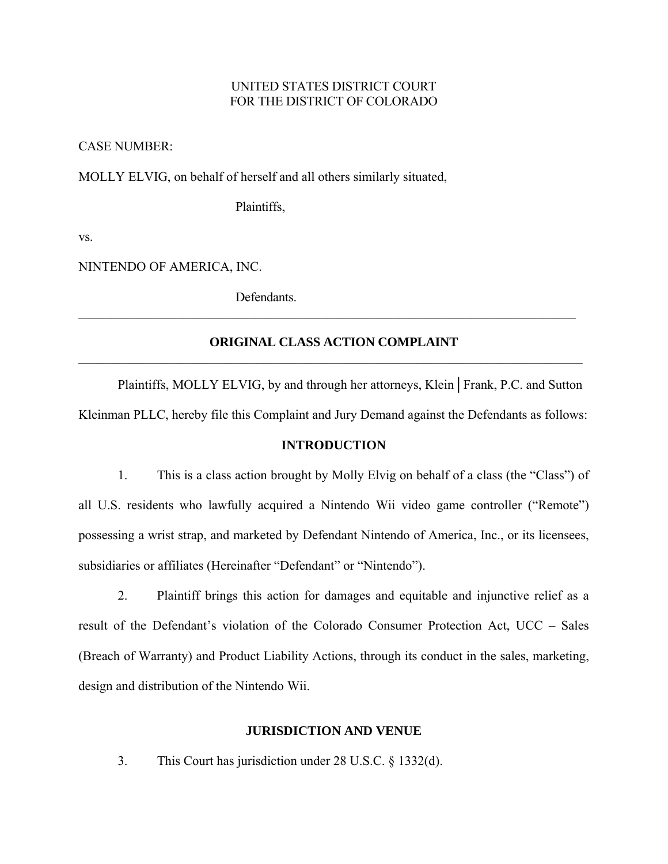## UNITED STATES DISTRICT COURT FOR THE DISTRICT OF COLORADO

CASE NUMBER:

MOLLY ELVIG, on behalf of herself and all others similarly situated,

Plaintiffs,

vs.

NINTENDO OF AMERICA, INC.

**Defendants** 

# **ORIGINAL CLASS ACTION COMPLAINT**  $\mathcal{L}_\mathcal{L} = \{ \mathcal{L}_\mathcal{L} = \{ \mathcal{L}_\mathcal{L} = \{ \mathcal{L}_\mathcal{L} = \{ \mathcal{L}_\mathcal{L} = \{ \mathcal{L}_\mathcal{L} = \{ \mathcal{L}_\mathcal{L} = \{ \mathcal{L}_\mathcal{L} = \{ \mathcal{L}_\mathcal{L} = \{ \mathcal{L}_\mathcal{L} = \{ \mathcal{L}_\mathcal{L} = \{ \mathcal{L}_\mathcal{L} = \{ \mathcal{L}_\mathcal{L} = \{ \mathcal{L}_\mathcal{L} = \{ \mathcal{L}_\mathcal{$

 $\mathcal{L}_\mathcal{L} = \{ \mathcal{L}_\mathcal{L} = \{ \mathcal{L}_\mathcal{L} = \{ \mathcal{L}_\mathcal{L} = \{ \mathcal{L}_\mathcal{L} = \{ \mathcal{L}_\mathcal{L} = \{ \mathcal{L}_\mathcal{L} = \{ \mathcal{L}_\mathcal{L} = \{ \mathcal{L}_\mathcal{L} = \{ \mathcal{L}_\mathcal{L} = \{ \mathcal{L}_\mathcal{L} = \{ \mathcal{L}_\mathcal{L} = \{ \mathcal{L}_\mathcal{L} = \{ \mathcal{L}_\mathcal{L} = \{ \mathcal{L}_\mathcal{$ 

Plaintiffs, MOLLY ELVIG, by and through her attorneys, Klein│Frank, P.C. and Sutton Kleinman PLLC, hereby file this Complaint and Jury Demand against the Defendants as follows:

### **INTRODUCTION**

 1. This is a class action brought by Molly Elvig on behalf of a class (the "Class") of all U.S. residents who lawfully acquired a Nintendo Wii video game controller ("Remote") possessing a wrist strap, and marketed by Defendant Nintendo of America, Inc., or its licensees, subsidiaries or affiliates (Hereinafter "Defendant" or "Nintendo").

 2. Plaintiff brings this action for damages and equitable and injunctive relief as a result of the Defendant's violation of the Colorado Consumer Protection Act, UCC – Sales (Breach of Warranty) and Product Liability Actions, through its conduct in the sales, marketing, design and distribution of the Nintendo Wii.

#### **JURISDICTION AND VENUE**

3. This Court has jurisdiction under 28 U.S.C. § 1332(d).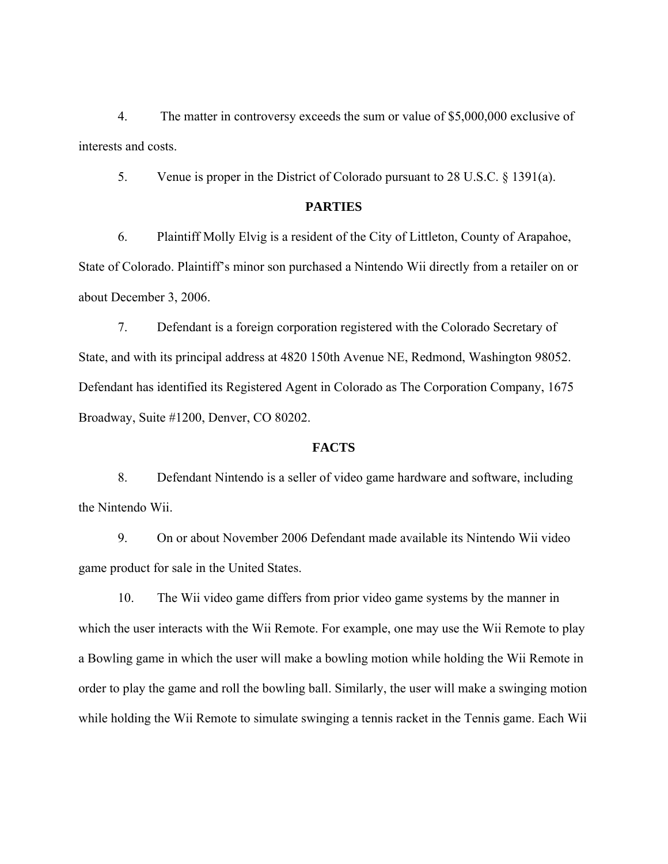4. The matter in controversy exceeds the sum or value of \$5,000,000 exclusive of interests and costs.

5. Venue is proper in the District of Colorado pursuant to 28 U.S.C. § 1391(a).

## **PARTIES**

 6. Plaintiff Molly Elvig is a resident of the City of Littleton, County of Arapahoe, State of Colorado. Plaintiff's minor son purchased a Nintendo Wii directly from a retailer on or about December 3, 2006.

 7. Defendant is a foreign corporation registered with the Colorado Secretary of State, and with its principal address at 4820 150th Avenue NE, Redmond, Washington 98052. Defendant has identified its Registered Agent in Colorado as The Corporation Company, 1675 Broadway, Suite #1200, Denver, CO 80202.

#### **FACTS**

 8. Defendant Nintendo is a seller of video game hardware and software, including the Nintendo Wii.

 9. On or about November 2006 Defendant made available its Nintendo Wii video game product for sale in the United States.

 10. The Wii video game differs from prior video game systems by the manner in which the user interacts with the Wii Remote. For example, one may use the Wii Remote to play a Bowling game in which the user will make a bowling motion while holding the Wii Remote in order to play the game and roll the bowling ball. Similarly, the user will make a swinging motion while holding the Wii Remote to simulate swinging a tennis racket in the Tennis game. Each Wii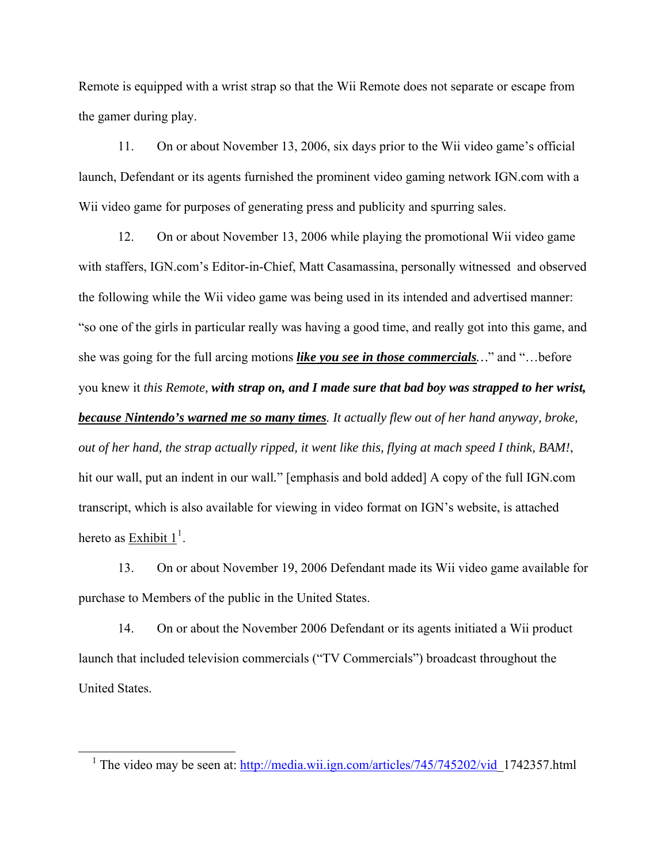Remote is equipped with a wrist strap so that the Wii Remote does not separate or escape from the gamer during play.

 11. On or about November 13, 2006, six days prior to the Wii video game's official launch, Defendant or its agents furnished the prominent video gaming network IGN.com with a Wii video game for purposes of generating press and publicity and spurring sales.

 12. On or about November 13, 2006 while playing the promotional Wii video game with staffers, IGN.com's Editor-in-Chief, Matt Casamassina, personally witnessed and observed the following while the Wii video game was being used in its intended and advertised manner: "so one of the girls in particular really was having a good time, and really got into this game, and she was going for the full arcing motions *like you see in those commercials…*" and "…before you knew it *this Remote, with strap on, and I made sure that bad boy was strapped to her wrist, because Nintendo's warned me so many times. It actually flew out of her hand anyway, broke, out of her hand, the strap actually ripped, it went like this, flying at mach speed I think, BAM!*, hit our wall, put an indent in our wall*.*" [emphasis and bold added] A copy of the full IGN.com transcript, which is also available for viewing in video format on IGN's website, is attached hereto as  $\frac{\text{Exhibit 1}}{1}$  $\frac{\text{Exhibit 1}}{1}$  $\frac{\text{Exhibit 1}}{1}$ .

 13. On or about November 19, 2006 Defendant made its Wii video game available for purchase to Members of the public in the United States.

 14. On or about the November 2006 Defendant or its agents initiated a Wii product launch that included television commercials ("TV Commercials") broadcast throughout the United States.

 $\overline{a}$ 

<span id="page-2-0"></span><sup>&</sup>lt;sup>1</sup> The video may be seen at:  $\frac{http://media.wii.ign.com/articles/745/745202/vid}{http://media.wii.ign.com/articles/745/202/vid}$  1742357.html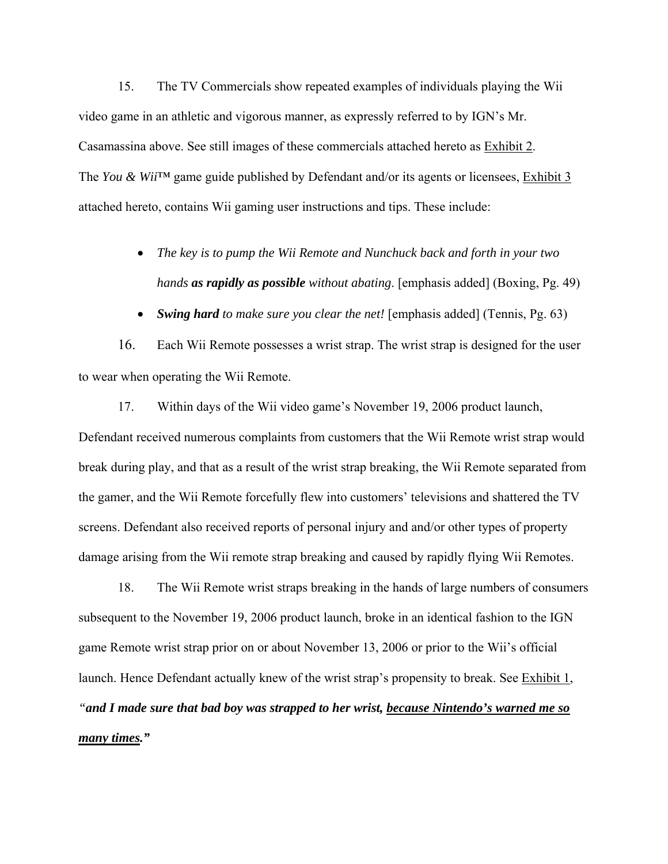15. The TV Commercials show repeated examples of individuals playing the Wii video game in an athletic and vigorous manner, as expressly referred to by IGN's Mr. Casamassina above. See still images of these commercials attached hereto as Exhibit 2. The *You & Wii*™ game guide published by Defendant and/or its agents or licensees, Exhibit 3 attached hereto, contains Wii gaming user instructions and tips. These include:

- *The key is to pump the Wii Remote and Nunchuck back and forth in your two hands as rapidly as possible without abating*. [emphasis added] (Boxing, Pg. 49)
- *Swing hard to make sure you clear the net!* [emphasis added] (Tennis, Pg. 63)

16. Each Wii Remote possesses a wrist strap. The wrist strap is designed for the user to wear when operating the Wii Remote.

 17. Within days of the Wii video game's November 19, 2006 product launch, Defendant received numerous complaints from customers that the Wii Remote wrist strap would break during play, and that as a result of the wrist strap breaking, the Wii Remote separated from the gamer, and the Wii Remote forcefully flew into customers' televisions and shattered the TV screens. Defendant also received reports of personal injury and and/or other types of property damage arising from the Wii remote strap breaking and caused by rapidly flying Wii Remotes.

 18. The Wii Remote wrist straps breaking in the hands of large numbers of consumers subsequent to the November 19, 2006 product launch, broke in an identical fashion to the IGN game Remote wrist strap prior on or about November 13, 2006 or prior to the Wii's official launch. Hence Defendant actually knew of the wrist strap's propensity to break. See Exhibit 1, *"and I made sure that bad boy was strapped to her wrist, because Nintendo's warned me so many times."*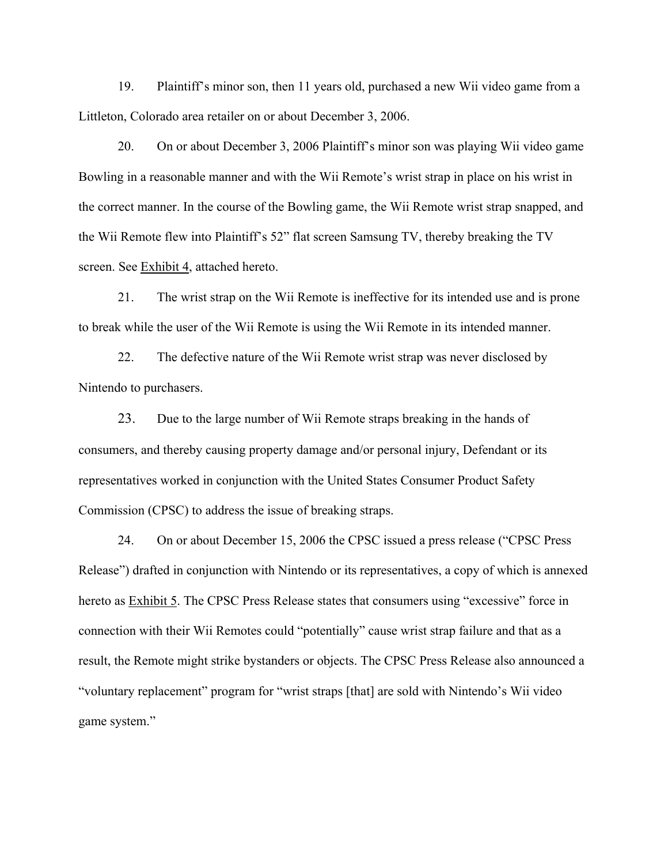19. Plaintiff's minor son, then 11 years old, purchased a new Wii video game from a Littleton, Colorado area retailer on or about December 3, 2006.

20. On or about December 3, 2006 Plaintiff's minor son was playing Wii video game Bowling in a reasonable manner and with the Wii Remote's wrist strap in place on his wrist in the correct manner. In the course of the Bowling game, the Wii Remote wrist strap snapped, and the Wii Remote flew into Plaintiff's 52" flat screen Samsung TV, thereby breaking the TV screen. See Exhibit 4, attached hereto.

 21. The wrist strap on the Wii Remote is ineffective for its intended use and is prone to break while the user of the Wii Remote is using the Wii Remote in its intended manner.

 22. The defective nature of the Wii Remote wrist strap was never disclosed by Nintendo to purchasers.

23. Due to the large number of Wii Remote straps breaking in the hands of consumers, and thereby causing property damage and/or personal injury, Defendant or its representatives worked in conjunction with the United States Consumer Product Safety Commission (CPSC) to address the issue of breaking straps.

 24. On or about December 15, 2006 the CPSC issued a press release ("CPSC Press Release") drafted in conjunction with Nintendo or its representatives, a copy of which is annexed hereto as Exhibit 5. The CPSC Press Release states that consumers using "excessive" force in connection with their Wii Remotes could "potentially" cause wrist strap failure and that as a result, the Remote might strike bystanders or objects. The CPSC Press Release also announced a "voluntary replacement" program for "wrist straps [that] are sold with Nintendo's Wii video game system."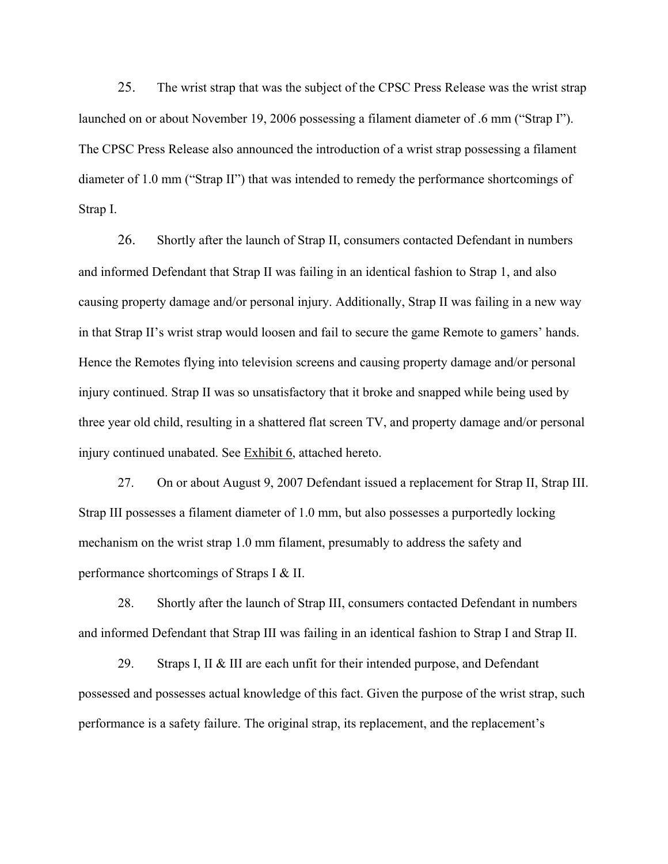25. The wrist strap that was the subject of the CPSC Press Release was the wrist strap launched on or about November 19, 2006 possessing a filament diameter of .6 mm ("Strap I"). The CPSC Press Release also announced the introduction of a wrist strap possessing a filament diameter of 1.0 mm ("Strap II") that was intended to remedy the performance shortcomings of Strap I.

26. Shortly after the launch of Strap II, consumers contacted Defendant in numbers and informed Defendant that Strap II was failing in an identical fashion to Strap 1, and also causing property damage and/or personal injury. Additionally, Strap II was failing in a new way in that Strap II's wrist strap would loosen and fail to secure the game Remote to gamers' hands. Hence the Remotes flying into television screens and causing property damage and/or personal injury continued. Strap II was so unsatisfactory that it broke and snapped while being used by three year old child, resulting in a shattered flat screen TV, and property damage and/or personal injury continued unabated. See Exhibit 6, attached hereto.

 27. On or about August 9, 2007 Defendant issued a replacement for Strap II, Strap III. Strap III possesses a filament diameter of 1.0 mm, but also possesses a purportedly locking mechanism on the wrist strap 1.0 mm filament, presumably to address the safety and performance shortcomings of Straps I & II.

 28. Shortly after the launch of Strap III, consumers contacted Defendant in numbers and informed Defendant that Strap III was failing in an identical fashion to Strap I and Strap II.

29. Straps I, II & III are each unfit for their intended purpose, and Defendant possessed and possesses actual knowledge of this fact. Given the purpose of the wrist strap, such performance is a safety failure. The original strap, its replacement, and the replacement's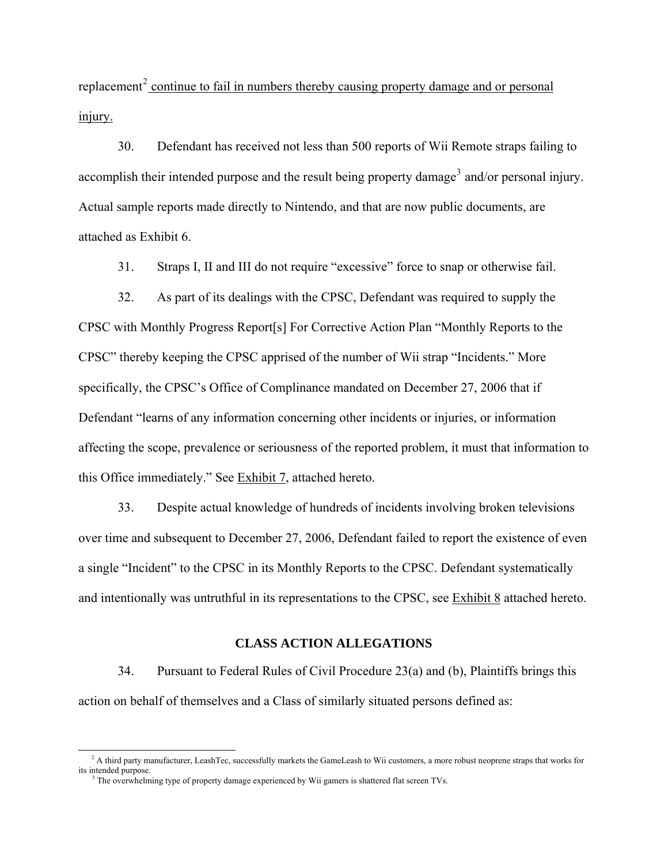replacement<sup>[2](#page-6-0)</sup> continue to fail in numbers thereby causing property damage and or personal injury.

 30. Defendant has received not less than 500 reports of Wii Remote straps failing to accomplish their intended purpose and the result being property damage<sup>[3](#page-6-1)</sup> and/or personal injury. Actual sample reports made directly to Nintendo, and that are now public documents, are attached as Exhibit 6.

31. Straps I, II and III do not require "excessive" force to snap or otherwise fail.

 32. As part of its dealings with the CPSC, Defendant was required to supply the CPSC with Monthly Progress Report[s] For Corrective Action Plan "Monthly Reports to the CPSC" thereby keeping the CPSC apprised of the number of Wii strap "Incidents." More specifically, the CPSC's Office of Complinance mandated on December 27, 2006 that if Defendant "learns of any information concerning other incidents or injuries, or information affecting the scope, prevalence or seriousness of the reported problem, it must that information to this Office immediately." See Exhibit 7, attached hereto.

33. Despite actual knowledge of hundreds of incidents involving broken televisions over time and subsequent to December 27, 2006, Defendant failed to report the existence of even a single "Incident" to the CPSC in its Monthly Reports to the CPSC. Defendant systematically and intentionally was untruthful in its representations to the CPSC, see Exhibit 8 attached hereto.

### **CLASS ACTION ALLEGATIONS**

34. Pursuant to Federal Rules of Civil Procedure 23(a) and (b), Plaintiffs brings this action on behalf of themselves and a Class of similarly situated persons defined as:

 $\overline{a}$ 

<span id="page-6-0"></span><sup>&</sup>lt;sup>2</sup> A third party manufacturer, LeashTec, successfully markets the GameLeash to Wii customers, a more robust neoprene straps that works for its intended purpose.

<span id="page-6-1"></span><sup>&</sup>lt;sup>3</sup> The overwhelming type of property damage experienced by Wii gamers is shattered flat screen TVs.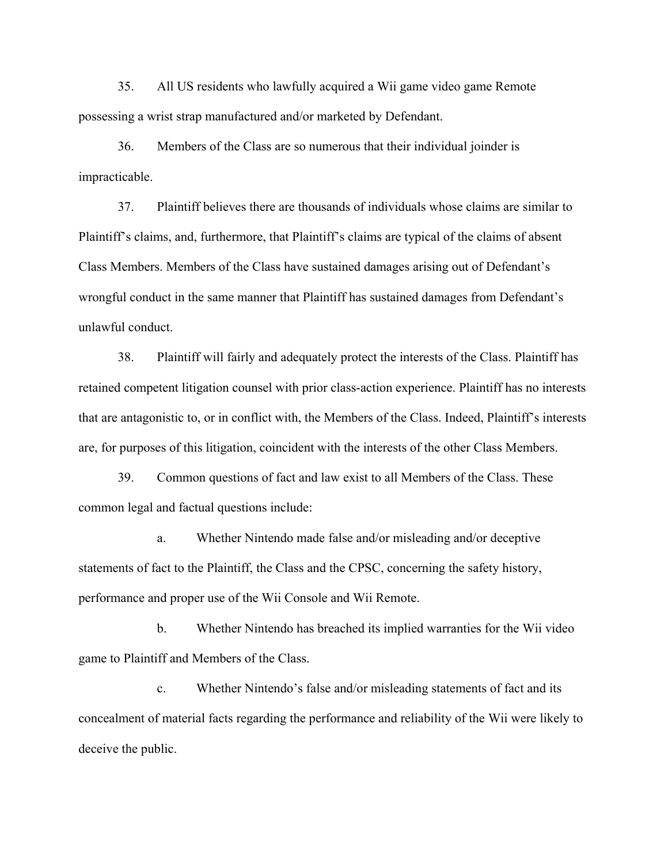35. All US residents who lawfully acquired a Wii game video game Remote possessing a wrist strap manufactured and/or marketed by Defendant.

 36. Members of the Class are so numerous that their individual joinder is impracticable.

 37. Plaintiff believes there are thousands of individuals whose claims are similar to Plaintiff's claims, and, furthermore, that Plaintiff's claims are typical of the claims of absent Class Members. Members of the Class have sustained damages arising out of Defendant's wrongful conduct in the same manner that Plaintiff has sustained damages from Defendant's unlawful conduct.

38. Plaintiff will fairly and adequately protect the interests of the Class. Plaintiff has retained competent litigation counsel with prior class-action experience. Plaintiff has no interests that are antagonistic to, or in conflict with, the Members of the Class. Indeed, Plaintiff's interests are, for purposes of this litigation, coincident with the interests of the other Class Members.

 39. Common questions of fact and law exist to all Members of the Class. These common legal and factual questions include:

 a. Whether Nintendo made false and/or misleading and/or deceptive statements of fact to the Plaintiff, the Class and the CPSC, concerning the safety history, performance and proper use of the Wii Console and Wii Remote.

 b. Whether Nintendo has breached its implied warranties for the Wii video game to Plaintiff and Members of the Class.

 c. Whether Nintendo's false and/or misleading statements of fact and its concealment of material facts regarding the performance and reliability of the Wii were likely to deceive the public.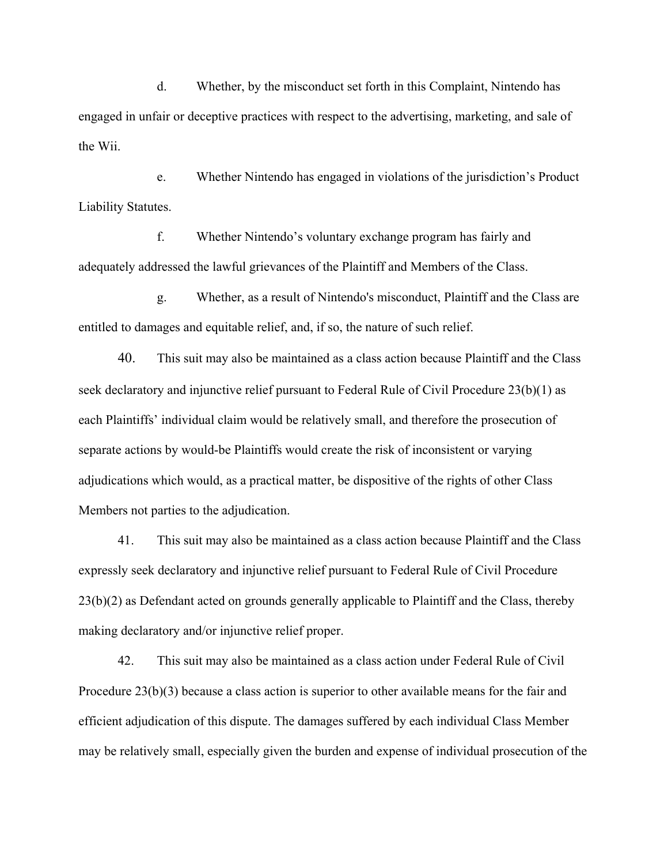d. Whether, by the misconduct set forth in this Complaint, Nintendo has engaged in unfair or deceptive practices with respect to the advertising, marketing, and sale of the Wii.

 e. Whether Nintendo has engaged in violations of the jurisdiction's Product Liability Statutes.

 f. Whether Nintendo's voluntary exchange program has fairly and adequately addressed the lawful grievances of the Plaintiff and Members of the Class.

 g. Whether, as a result of Nintendo's misconduct, Plaintiff and the Class are entitled to damages and equitable relief, and, if so, the nature of such relief.

 40. This suit may also be maintained as a class action because Plaintiff and the Class seek declaratory and injunctive relief pursuant to Federal Rule of Civil Procedure 23(b)(1) as each Plaintiffs' individual claim would be relatively small, and therefore the prosecution of separate actions by would-be Plaintiffs would create the risk of inconsistent or varying adjudications which would, as a practical matter, be dispositive of the rights of other Class Members not parties to the adjudication.

 41. This suit may also be maintained as a class action because Plaintiff and the Class expressly seek declaratory and injunctive relief pursuant to Federal Rule of Civil Procedure 23(b)(2) as Defendant acted on grounds generally applicable to Plaintiff and the Class, thereby making declaratory and/or injunctive relief proper.

 42. This suit may also be maintained as a class action under Federal Rule of Civil Procedure 23(b)(3) because a class action is superior to other available means for the fair and efficient adjudication of this dispute. The damages suffered by each individual Class Member may be relatively small, especially given the burden and expense of individual prosecution of the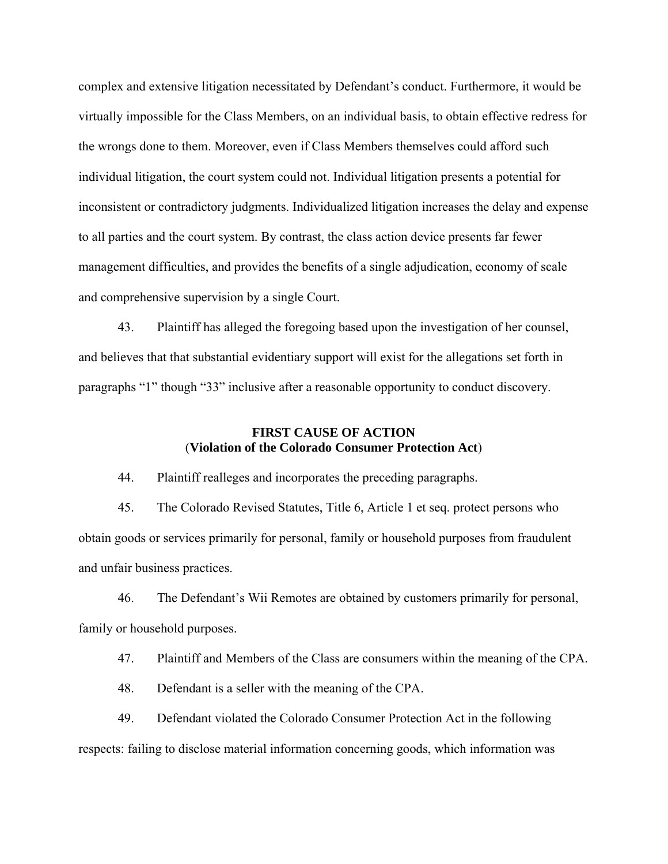complex and extensive litigation necessitated by Defendant's conduct. Furthermore, it would be virtually impossible for the Class Members, on an individual basis, to obtain effective redress for the wrongs done to them. Moreover, even if Class Members themselves could afford such individual litigation, the court system could not. Individual litigation presents a potential for inconsistent or contradictory judgments. Individualized litigation increases the delay and expense to all parties and the court system. By contrast, the class action device presents far fewer management difficulties, and provides the benefits of a single adjudication, economy of scale and comprehensive supervision by a single Court.

 43. Plaintiff has alleged the foregoing based upon the investigation of her counsel, and believes that that substantial evidentiary support will exist for the allegations set forth in paragraphs "1" though "33" inclusive after a reasonable opportunity to conduct discovery.

# **FIRST CAUSE OF ACTION** (**Violation of the Colorado Consumer Protection Act**)

44. Plaintiff realleges and incorporates the preceding paragraphs.

 45. The Colorado Revised Statutes, Title 6, Article 1 et seq. protect persons who obtain goods or services primarily for personal, family or household purposes from fraudulent and unfair business practices.

46. The Defendant's Wii Remotes are obtained by customers primarily for personal, family or household purposes.

47. Plaintiff and Members of the Class are consumers within the meaning of the CPA.

48. Defendant is a seller with the meaning of the CPA.

 49. Defendant violated the Colorado Consumer Protection Act in the following respects: failing to disclose material information concerning goods, which information was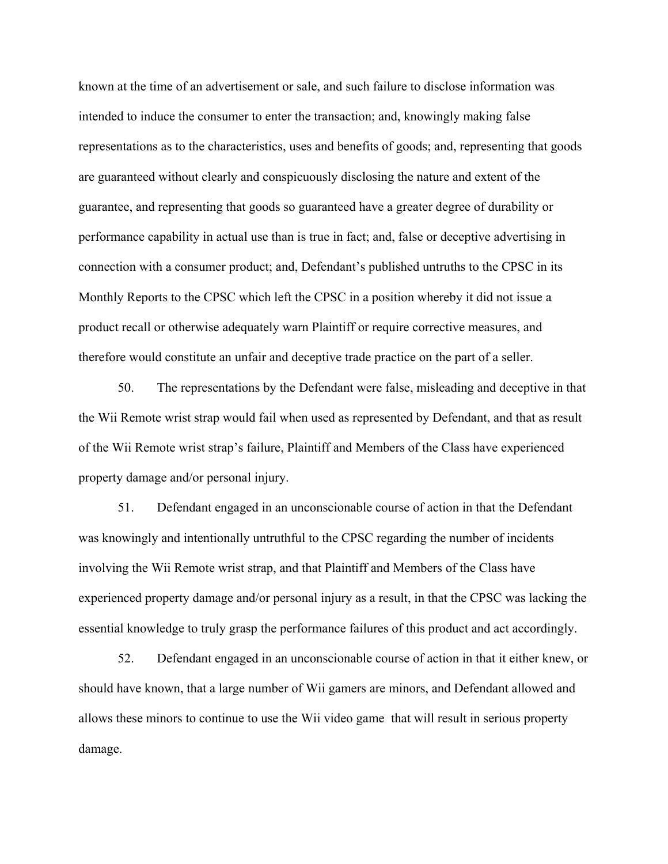known at the time of an advertisement or sale, and such failure to disclose information was intended to induce the consumer to enter the transaction; and, knowingly making false representations as to the characteristics, uses and benefits of goods; and, representing that goods are guaranteed without clearly and conspicuously disclosing the nature and extent of the guarantee, and representing that goods so guaranteed have a greater degree of durability or performance capability in actual use than is true in fact; and, false or deceptive advertising in connection with a consumer product; and, Defendant's published untruths to the CPSC in its Monthly Reports to the CPSC which left the CPSC in a position whereby it did not issue a product recall or otherwise adequately warn Plaintiff or require corrective measures, and therefore would constitute an unfair and deceptive trade practice on the part of a seller.

 50. The representations by the Defendant were false, misleading and deceptive in that the Wii Remote wrist strap would fail when used as represented by Defendant, and that as result of the Wii Remote wrist strap's failure, Plaintiff and Members of the Class have experienced property damage and/or personal injury.

 51. Defendant engaged in an unconscionable course of action in that the Defendant was knowingly and intentionally untruthful to the CPSC regarding the number of incidents involving the Wii Remote wrist strap, and that Plaintiff and Members of the Class have experienced property damage and/or personal injury as a result, in that the CPSC was lacking the essential knowledge to truly grasp the performance failures of this product and act accordingly.

 52. Defendant engaged in an unconscionable course of action in that it either knew, or should have known, that a large number of Wii gamers are minors, and Defendant allowed and allows these minors to continue to use the Wii video game that will result in serious property damage.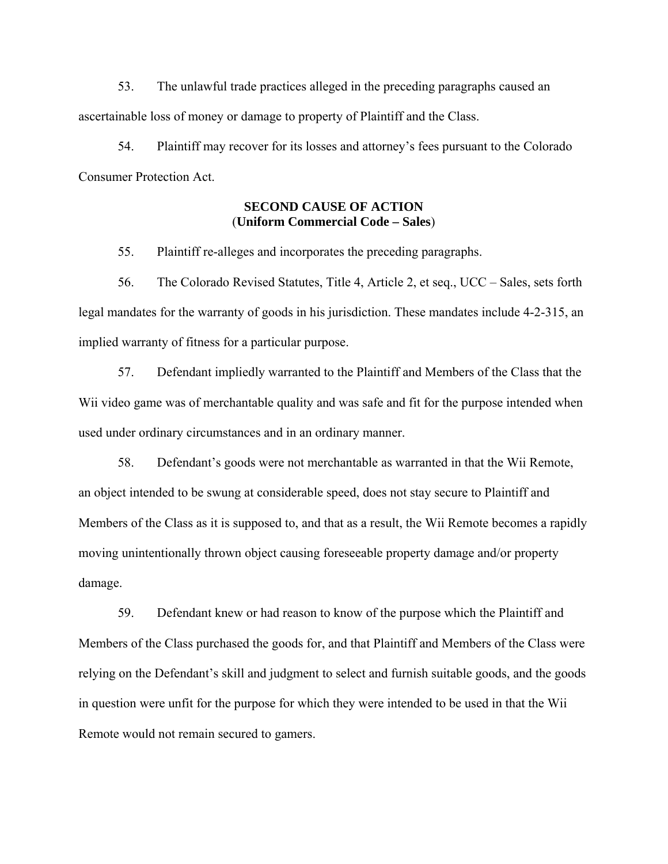53. The unlawful trade practices alleged in the preceding paragraphs caused an ascertainable loss of money or damage to property of Plaintiff and the Class.

 54. Plaintiff may recover for its losses and attorney's fees pursuant to the Colorado Consumer Protection Act.

## **SECOND CAUSE OF ACTION**  (**Uniform Commercial Code – Sales**)

55. Plaintiff re-alleges and incorporates the preceding paragraphs.

 56. The Colorado Revised Statutes, Title 4, Article 2, et seq., UCC – Sales, sets forth legal mandates for the warranty of goods in his jurisdiction. These mandates include 4-2-315, an implied warranty of fitness for a particular purpose.

57. Defendant impliedly warranted to the Plaintiff and Members of the Class that the Wii video game was of merchantable quality and was safe and fit for the purpose intended when used under ordinary circumstances and in an ordinary manner.

58. Defendant's goods were not merchantable as warranted in that the Wii Remote, an object intended to be swung at considerable speed, does not stay secure to Plaintiff and Members of the Class as it is supposed to, and that as a result, the Wii Remote becomes a rapidly moving unintentionally thrown object causing foreseeable property damage and/or property damage.

59. Defendant knew or had reason to know of the purpose which the Plaintiff and Members of the Class purchased the goods for, and that Plaintiff and Members of the Class were relying on the Defendant's skill and judgment to select and furnish suitable goods, and the goods in question were unfit for the purpose for which they were intended to be used in that the Wii Remote would not remain secured to gamers.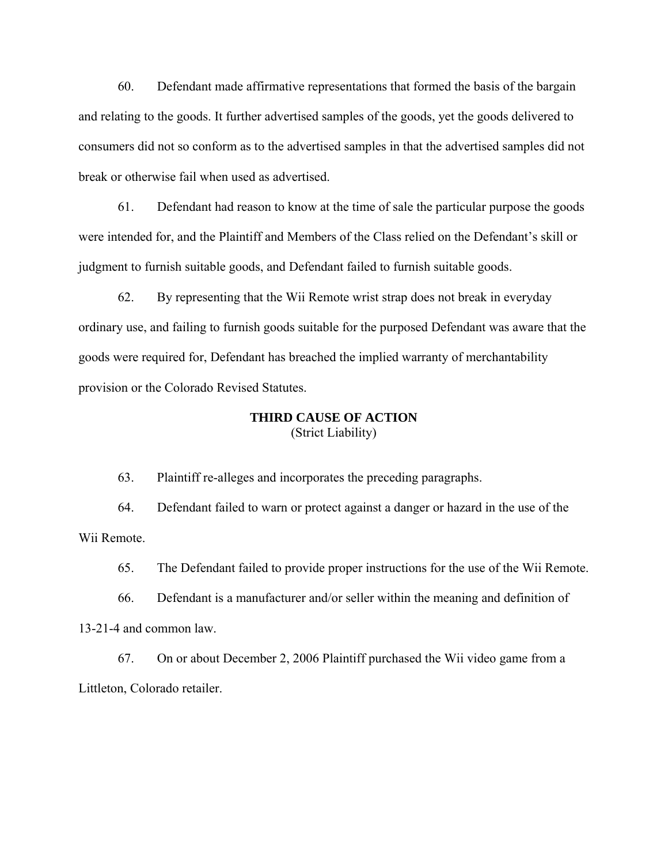60. Defendant made affirmative representations that formed the basis of the bargain and relating to the goods. It further advertised samples of the goods, yet the goods delivered to consumers did not so conform as to the advertised samples in that the advertised samples did not break or otherwise fail when used as advertised.

61. Defendant had reason to know at the time of sale the particular purpose the goods were intended for, and the Plaintiff and Members of the Class relied on the Defendant's skill or judgment to furnish suitable goods, and Defendant failed to furnish suitable goods.

62. By representing that the Wii Remote wrist strap does not break in everyday ordinary use, and failing to furnish goods suitable for the purposed Defendant was aware that the goods were required for, Defendant has breached the implied warranty of merchantability provision or the Colorado Revised Statutes.

### **THIRD CAUSE OF ACTION**  (Strict Liability)

63. Plaintiff re-alleges and incorporates the preceding paragraphs.

 64. Defendant failed to warn or protect against a danger or hazard in the use of the Wii Remote.

65. The Defendant failed to provide proper instructions for the use of the Wii Remote.

 66. Defendant is a manufacturer and/or seller within the meaning and definition of 13-21-4 and common law.

 67. On or about December 2, 2006 Plaintiff purchased the Wii video game from a Littleton, Colorado retailer.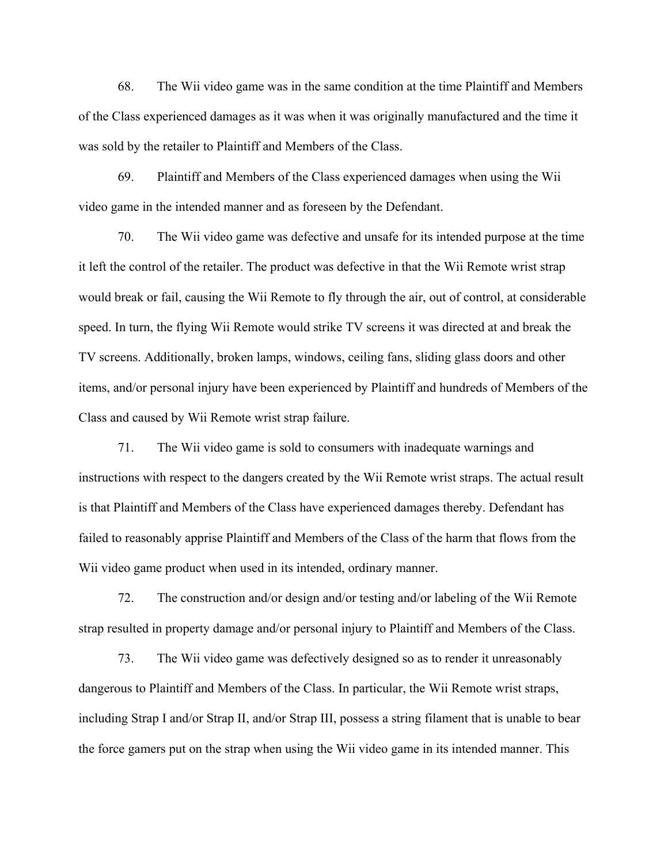68. The Wii video game was in the same condition at the time Plaintiff and Members of the Class experienced damages as it was when it was originally manufactured and the time it was sold by the retailer to Plaintiff and Members of the Class.

 69. Plaintiff and Members of the Class experienced damages when using the Wii video game in the intended manner and as foreseen by the Defendant.

 70. The Wii video game was defective and unsafe for its intended purpose at the time it left the control of the retailer. The product was defective in that the Wii Remote wrist strap would break or fail, causing the Wii Remote to fly through the air, out of control, at considerable speed. In turn, the flying Wii Remote would strike TV screens it was directed at and break the TV screens. Additionally, broken lamps, windows, ceiling fans, sliding glass doors and other items, and/or personal injury have been experienced by Plaintiff and hundreds of Members of the Class and caused by Wii Remote wrist strap failure.

 71. The Wii video game is sold to consumers with inadequate warnings and instructions with respect to the dangers created by the Wii Remote wrist straps. The actual result is that Plaintiff and Members of the Class have experienced damages thereby. Defendant has failed to reasonably apprise Plaintiff and Members of the Class of the harm that flows from the Wii video game product when used in its intended, ordinary manner.

 72. The construction and/or design and/or testing and/or labeling of the Wii Remote strap resulted in property damage and/or personal injury to Plaintiff and Members of the Class.

 73. The Wii video game was defectively designed so as to render it unreasonably dangerous to Plaintiff and Members of the Class. In particular, the Wii Remote wrist straps, including Strap I and/or Strap II, and/or Strap III, possess a string filament that is unable to bear the force gamers put on the strap when using the Wii video game in its intended manner. This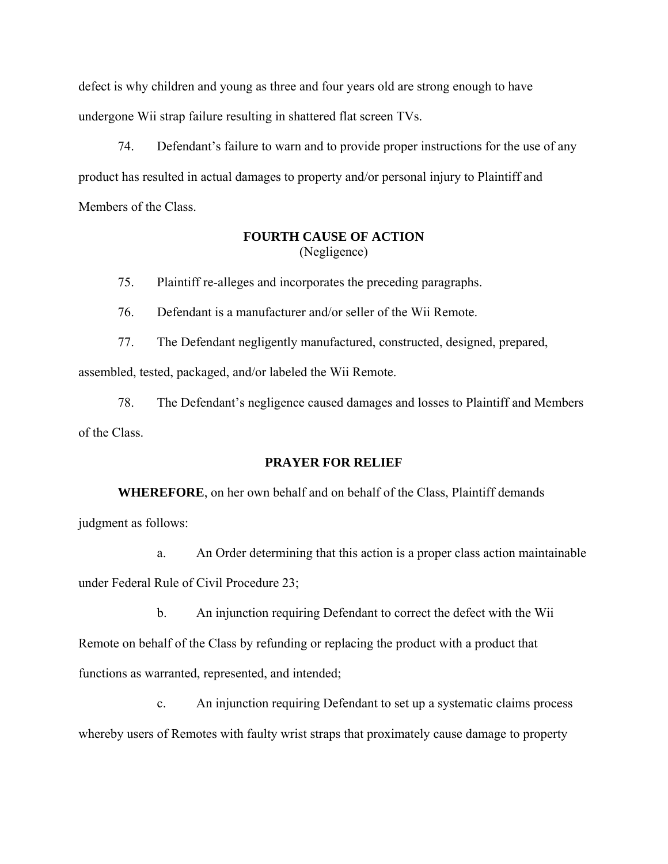defect is why children and young as three and four years old are strong enough to have undergone Wii strap failure resulting in shattered flat screen TVs.

 74. Defendant's failure to warn and to provide proper instructions for the use of any product has resulted in actual damages to property and/or personal injury to Plaintiff and Members of the Class.

# **FOURTH CAUSE OF ACTION** (Negligence)

75. Plaintiff re-alleges and incorporates the preceding paragraphs.

76. Defendant is a manufacturer and/or seller of the Wii Remote.

77. The Defendant negligently manufactured, constructed, designed, prepared,

assembled, tested, packaged, and/or labeled the Wii Remote.

 78. The Defendant's negligence caused damages and losses to Plaintiff and Members of the Class.

## **PRAYER FOR RELIEF**

**WHEREFORE**, on her own behalf and on behalf of the Class, Plaintiff demands judgment as follows:

 a. An Order determining that this action is a proper class action maintainable under Federal Rule of Civil Procedure 23;

 b. An injunction requiring Defendant to correct the defect with the Wii Remote on behalf of the Class by refunding or replacing the product with a product that functions as warranted, represented, and intended;

 c. An injunction requiring Defendant to set up a systematic claims process whereby users of Remotes with faulty wrist straps that proximately cause damage to property